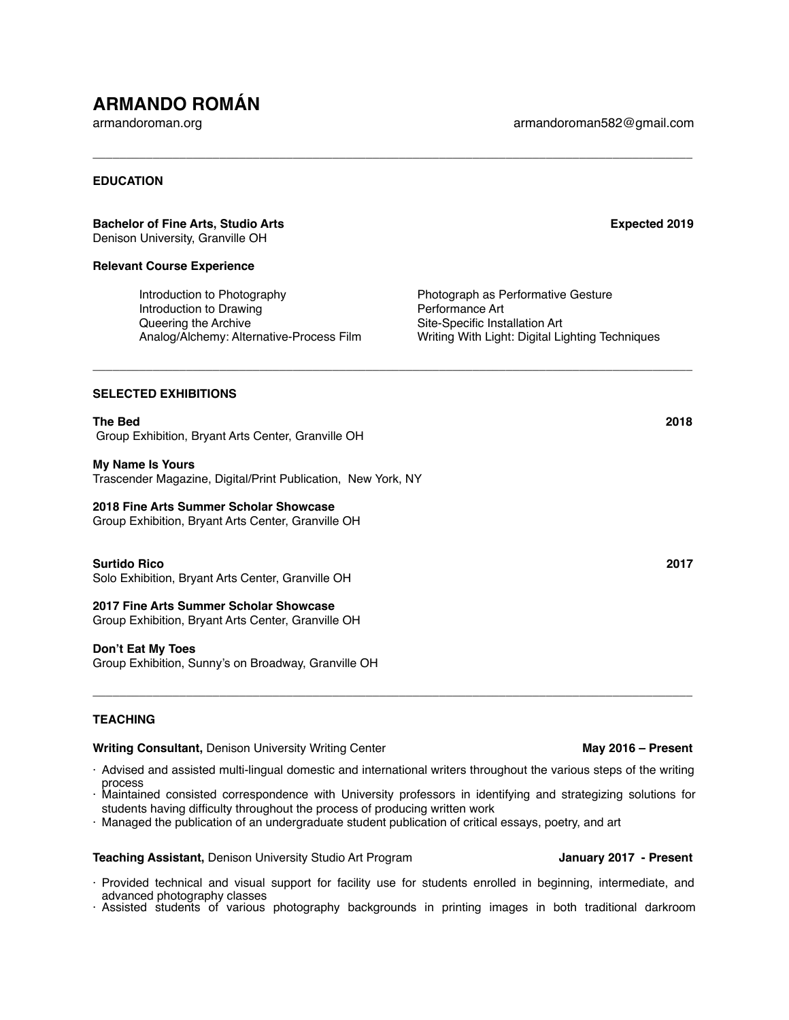# **ARMANDO ROMÁN**

armandoroman.org armandoroman582@gmail.com

# **EDUCATION**

### **Bachelor of Fine Arts, Studio Arts** Expected 2019

Denison University, Granville OH

# **Relevant Course Experience**

Introduction to Photography Photograph as Performative Gesture Introduction to Drawing **Performance Art** Queering the Archive Site-Specific Installation Art

Analog/Alchemy: Alternative-Process Film Writing With Light: Digital Lighting Techniques

# **SELECTED EXHIBITIONS**

**The Bed 2018** Group Exhibition, Bryant Arts Center, Granville OH

### **My Name Is Yours**

Trascender Magazine, Digital/Print Publication, New York, NY

# **2018 Fine Arts Summer Scholar Showcase**

Group Exhibition, Bryant Arts Center, Granville OH

# **Surtido Rico 2017**

Solo Exhibition, Bryant Arts Center, Granville OH

### **2017 Fine Arts Summer Scholar Showcase**

Group Exhibition, Bryant Arts Center, Granville OH

### **Don't Eat My Toes**

Group Exhibition, Sunny's on Broadway, Granville OH

# **TEACHING**

### **Writing Consultant, Denison University Writing Center <b>May 2016** – **May 2016** – **Present**

· Advised and assisted multi-lingual domestic and international writers throughout the various steps of the writing process

 $\overline{\phantom{a}}$  , and the contribution of the contribution of the contribution of the contribution of the contribution of the contribution of the contribution of the contribution of the contribution of the contribution of the

**\_\_\_\_\_\_\_\_\_\_\_\_\_\_\_\_\_\_\_\_\_\_\_\_\_\_\_\_\_\_\_\_\_\_\_\_\_\_\_\_\_\_\_\_\_\_\_\_\_\_\_\_\_\_\_\_\_\_\_\_\_\_\_\_\_\_\_\_\_\_\_\_\_\_\_\_\_\_\_\_\_\_\_\_\_\_\_\_\_\_**

**\_\_\_\_\_\_\_\_\_\_\_\_\_\_\_\_\_\_\_\_\_\_\_\_\_\_\_\_\_\_\_\_\_\_\_\_\_\_\_\_\_\_\_\_\_\_\_\_\_\_\_\_\_\_\_\_\_\_\_\_\_\_\_\_\_\_\_\_\_\_\_\_\_\_\_\_\_\_\_\_\_\_\_\_\_\_\_\_\_\_**

- · Maintained consisted correspondence with University professors in identifying and strategizing solutions for students having difficulty throughout the process of producing written work
- · Managed the publication of an undergraduate student publication of critical essays, poetry, and art

**Teaching Assistant, Denison University Studio Art Program Manuary 2017 - Present** 

- · Provided technical and visual support for facility use for students enrolled in beginning, intermediate, and advanced photography classes
- · Assisted students of various photography backgrounds in printing images in both traditional darkroom